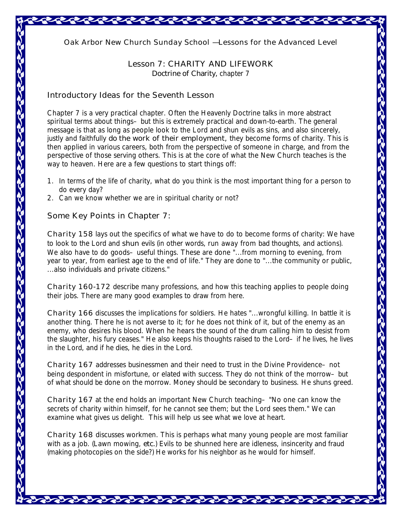*Oak Arbor New Church Sunday School — Lessons for the Advanced Level* 

## **Lesson 7: CHARITY AND LIFEWORK**

*Doctrine of Charity,* chapter 7

## **Introductory Ideas for the Seventh Lesson**

Chapter 7 is a very practical chapter. Often the Heavenly Doctrine talks in more abstract spiritual terms about things- but this is extremely practical and down-to-earth. The general message is that as long as people look to the Lord and shun evils as sins, and also sincerely, justly and faithfully *do the work of their employment,* they become forms of charity. This is then applied in various careers, both from the perspective of someone in charge, and from the perspective of those serving others. This is at the core of what the New Church teaches is the way to heaven. Here are a few questions to start things off:

- 1. In terms of the life of charity, what do you think is the most important thing for a person to do every day?
- 2. Can we know whether we are in spiritual charity or not?

## **Some Key Points in Chapter 7:**

*Charity* **158** lays out the specifics of what we have to do to become forms of charity: We have to look to the Lord and **shun** evils (in other words, run away from bad thoughts, and actions). We also have to do goods- useful things. These are done "...from morning to evening, from year to year, from earliest age to the end of life." They are done to "...the community or public, ...also individuals and private citizens."

*Charity* **160-172** describe many professions, and how this teaching applies to people doing their jobs. There are many good examples to draw from here.

*Charity* **166** discusses the implications for soldiers. He hates "...wrongful killing. In battle it is another thing. There he is not averse to it; for he does not think of it, but of the enemy as an enemy, who desires his blood. When he hears the sound of the drum calling him to desist from the slaughter, his fury ceases." He also keeps his thoughts raised to the Lord–if he lives, he lives in the Lord, and if he dies, he dies in the Lord.

*Charity* **167** addresses businessmen and their need to trust in the Divine Providence–not being despondent in misfortune, or elated with success. They do not think of the morrow–but of what should be done on the morrow. Money should be secondary to business. He shuns greed.

*Charity* **167** at the end holds an important New Church teaching–"No one can know the secrets of charity within himself, for he cannot see them; but the Lord sees them." We can examine what gives us delight. This will help us see what we love at heart.

*Charity* **168** discusses workmen. This is perhaps what many young people are most familiar with as a job. (Lawn mowing, *etc.*) Evils to be shunned here are idleness, insincerity and fraud (making photocopies on the side?) He works for his neighbor as he would for himself.